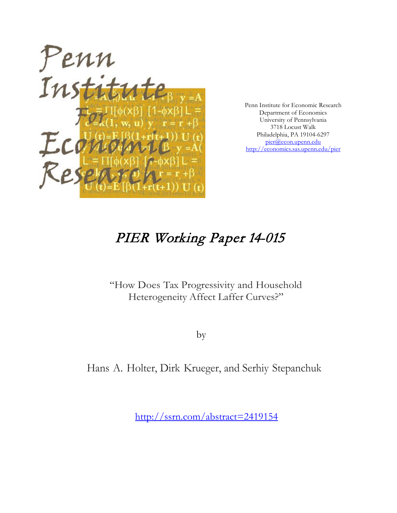

Penn Institute for Economic Research Department of Economics University of Pennsylvania 3718 Locust Walk Philadelphia, PA 19104-6297 [pier@econ.upenn.edu](mailto:pier@econ.upenn.edu) <http://economics.sas.upenn.edu/pier>

## PIER Working Paper 14-015

## "How Does Tax Progressivity and Household Heterogeneity Affect Laffer Curves?"

by

Hans A. Holter, Dirk Krueger, and Serhiy Stepanchuk

[http://ssrn.com/abstract=2](http://ssrn.com/abstract_id=)419154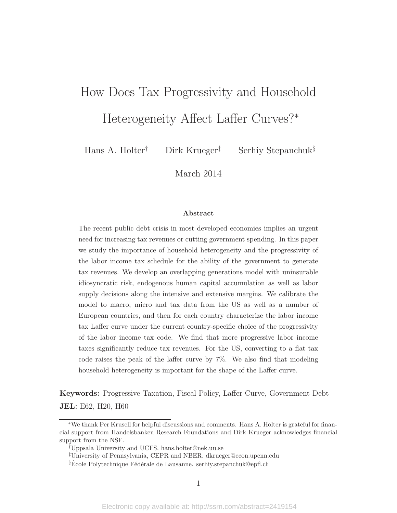## How Does Tax Progressivity and Household

Heterogeneity Affect Laffer Curves?<sup>∗</sup>

Hans A. Holter† Dirk Krueger‡ Serhiy Stepanchuk§

March 2014

#### Abstract

The recent public debt crisis in most developed economies implies an urgent need for increasing tax revenues or cutting government spending. In this paper we study the importance of household heterogeneity and the progressivity of the labor income tax schedule for the ability of the government to generate tax revenues. We develop an overlapping generations model with uninsurable idiosyncratic risk, endogenous human capital accumulation as well as labor supply decisions along the intensive and extensive margins. We calibrate the model to macro, micro and tax data from the US as well as a number of European countries, and then for each country characterize the labor income tax Laffer curve under the current country-specific choice of the progressivity of the labor income tax code. We find that more progressive labor income taxes significantly reduce tax revenues. For the US, converting to a flat tax code raises the peak of the laffer curve by 7%. We also find that modeling household heterogeneity is important for the shape of the Laffer curve.

Keywords: Progressive Taxation, Fiscal Policy, Laffer Curve, Government Debt JEL: E62, H20, H60

<sup>∗</sup>We thank Per Krusell for helpful discussions and comments. Hans A. Holter is grateful for financial support from Handelsbanken Research Foundations and Dirk Krueger acknowledges financial support from the NSF.

<sup>†</sup>Uppsala University and UCFS. hans.holter@nek.uu.se

<sup>‡</sup>University of Pennsylvania, CEPR and NBER. dkrueger@econ.upenn.edu

 $\S$ École Polytechnique Fédérale de Lausanne. serhiy.stepanchuk@epfl.ch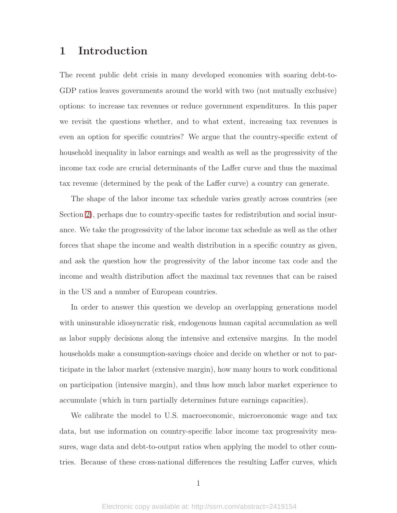## 1 Introduction

The recent public debt crisis in many developed economies with soaring debt-to-GDP ratios leaves governments around the world with two (not mutually exclusive) options: to increase tax revenues or reduce government expenditures. In this paper we revisit the questions whether, and to what extent, increasing tax revenues is even an option for specific countries? We argue that the country-specific extent of household inequality in labor earnings and wealth as well as the progressivity of the income tax code are crucial determinants of the Laffer curve and thus the maximal tax revenue (determined by the peak of the Laffer curve) a country can generate.

The shape of the labor income tax schedule varies greatly across countries (see Section [2\)](#page-6-0), perhaps due to country-specific tastes for redistribution and social insurance. We take the progressivity of the labor income tax schedule as well as the other forces that shape the income and wealth distribution in a specific country as given, and ask the question how the progressivity of the labor income tax code and the income and wealth distribution affect the maximal tax revenues that can be raised in the US and a number of European countries.

In order to answer this question we develop an overlapping generations model with uninsurable idiosyncratic risk, endogenous human capital accumulation as well as labor supply decisions along the intensive and extensive margins. In the model households make a consumption-savings choice and decide on whether or not to participate in the labor market (extensive margin), how many hours to work conditional on participation (intensive margin), and thus how much labor market experience to accumulate (which in turn partially determines future earnings capacities).

We calibrate the model to U.S. macroeconomic, microeconomic wage and tax data, but use information on country-specific labor income tax progressivity measures, wage data and debt-to-output ratios when applying the model to other countries. Because of these cross-national differences the resulting Laffer curves, which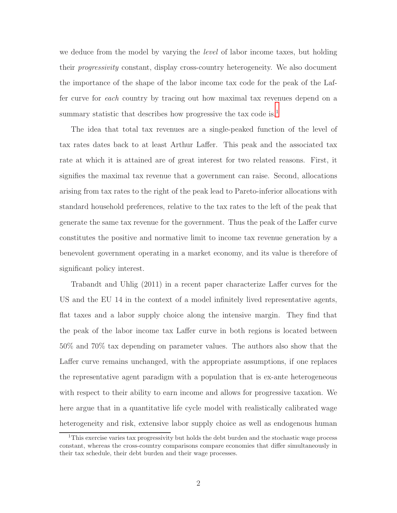we deduce from the model by varying the *level* of labor income taxes, but holding their progressivity constant, display cross-country heterogeneity. We also document the importance of the shape of the labor income tax code for the peak of the Laffer curve for each country by tracing out how maximal tax revenues depend on a summary statistic that describes how progressive the tax code is.<sup>[1](#page-3-0)</sup>

The idea that total tax revenues are a single-peaked function of the level of tax rates dates back to at least Arthur Laffer. This peak and the associated tax rate at which it is attained are of great interest for two related reasons. First, it signifies the maximal tax revenue that a government can raise. Second, allocations arising from tax rates to the right of the peak lead to Pareto-inferior allocations with standard household preferences, relative to the tax rates to the left of the peak that generate the same tax revenue for the government. Thus the peak of the Laffer curve constitutes the positive and normative limit to income tax revenue generation by a benevolent government operating in a market economy, and its value is therefore of significant policy interest.

Trabandt and Uhlig (2011) in a recent paper characterize Laffer curves for the US and the EU 14 in the context of a model infinitely lived representative agents, flat taxes and a labor supply choice along the intensive margin. They find that the peak of the labor income tax Laffer curve in both regions is located between 50% and 70% tax depending on parameter values. The authors also show that the Laffer curve remains unchanged, with the appropriate assumptions, if one replaces the representative agent paradigm with a population that is ex-ante heterogeneous with respect to their ability to earn income and allows for progressive taxation. We here argue that in a quantitative life cycle model with realistically calibrated wage heterogeneity and risk, extensive labor supply choice as well as endogenous human

<span id="page-3-0"></span><sup>&</sup>lt;sup>1</sup>This exercise varies tax progressivity but holds the debt burden and the stochastic wage process constant, whereas the cross-country comparisons compare economies that differ simultaneously in their tax schedule, their debt burden and their wage processes.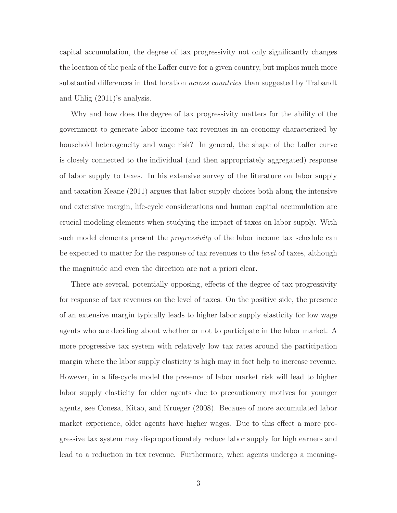capital accumulation, the degree of tax progressivity not only significantly changes the location of the peak of the Laffer curve for a given country, but implies much more substantial differences in that location *across countries* than suggested by Trabandt and Uhlig (2011)'s analysis.

Why and how does the degree of tax progressivity matters for the ability of the government to generate labor income tax revenues in an economy characterized by household heterogeneity and wage risk? In general, the shape of the Laffer curve is closely connected to the individual (and then appropriately aggregated) response of labor supply to taxes. In his extensive survey of the literature on labor supply and taxation Keane (2011) argues that labor supply choices both along the intensive and extensive margin, life-cycle considerations and human capital accumulation are crucial modeling elements when studying the impact of taxes on labor supply. With such model elements present the *progressivity* of the labor income tax schedule can be expected to matter for the response of tax revenues to the level of taxes, although the magnitude and even the direction are not a priori clear.

There are several, potentially opposing, effects of the degree of tax progressivity for response of tax revenues on the level of taxes. On the positive side, the presence of an extensive margin typically leads to higher labor supply elasticity for low wage agents who are deciding about whether or not to participate in the labor market. A more progressive tax system with relatively low tax rates around the participation margin where the labor supply elasticity is high may in fact help to increase revenue. However, in a life-cycle model the presence of labor market risk will lead to higher labor supply elasticity for older agents due to precautionary motives for younger agents, see Conesa, Kitao, and Krueger (2008). Because of more accumulated labor market experience, older agents have higher wages. Due to this effect a more progressive tax system may disproportionately reduce labor supply for high earners and lead to a reduction in tax revenue. Furthermore, when agents undergo a meaning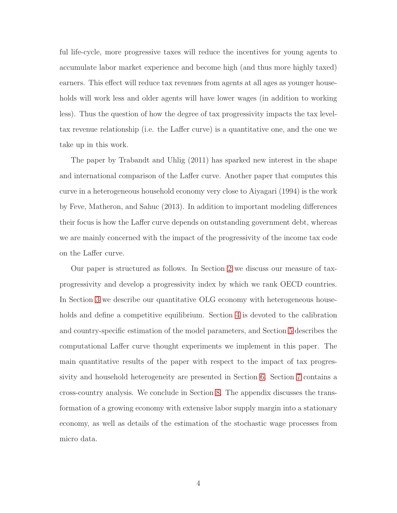ful life-cycle, more progressive taxes will reduce the incentives for young agents to accumulate labor market experience and become high (and thus more highly taxed) earners. This effect will reduce tax revenues from agents at all ages as younger households will work less and older agents will have lower wages (in addition to working less). Thus the question of how the degree of tax progressivity impacts the tax leveltax revenue relationship (i.e. the Laffer curve) is a quantitative one, and the one we take up in this work.

The paper by Trabandt and Uhlig (2011) has sparked new interest in the shape and international comparison of the Laffer curve. Another paper that computes this curve in a heterogeneous household economy very close to Aiyagari (1994) is the work by Feve, Matheron, and Sahuc (2013). In addition to important modeling differences their focus is how the Laffer curve depends on outstanding government debt, whereas we are mainly concerned with the impact of the progressivity of the income tax code on the Laffer curve.

Our paper is structured as follows. In Section [2](#page-6-0) we discuss our measure of taxprogressivity and develop a progressivity index by which we rank OECD countries. In Section [3](#page-8-0) we describe our quantitative OLG economy with heterogeneous households and define a competitive equilibrium. Section [4](#page-18-0) is devoted to the calibration and country-specific estimation of the model parameters, and Section [5](#page-23-0) describes the computational Laffer curve thought experiments we implement in this paper. The main quantitative results of the paper with respect to the impact of tax progressivity and household heterogeneity are presented in Section [6.](#page-25-0) Section [7](#page-32-0) contains a cross-country analysis. We conclude in Section [8.](#page-33-0) The appendix discusses the transformation of a growing economy with extensive labor supply margin into a stationary economy, as well as details of the estimation of the stochastic wage processes from micro data.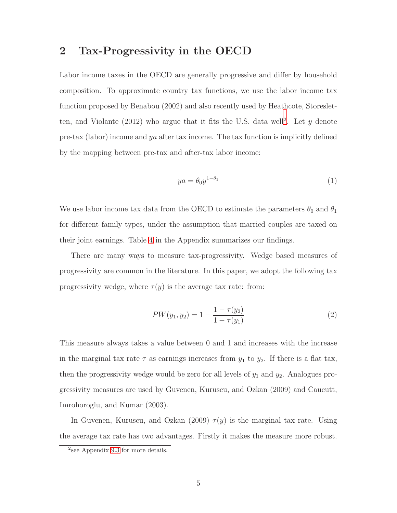## <span id="page-6-0"></span>2 Tax-Progressivity in the OECD

Labor income taxes in the OECD are generally progressive and differ by household composition. To approximate country tax functions, we use the labor income tax function proposed by Benabou (2002) and also recently used by Heathcote, Storesletten, and Violante  $(2012)$  $(2012)$  $(2012)$  who argue that it fits the U.S. data well<sup>2</sup>. Let y denote pre-tax (labor) income and ya after tax income. The tax function is implicitly defined by the mapping between pre-tax and after-tax labor income:

<span id="page-6-2"></span>
$$
ya = \theta_0 y^{1-\theta_1} \tag{1}
$$

We use labor income tax data from the OECD to estimate the parameters  $\theta_0$  and  $\theta_1$ for different family types, under the assumption that married couples are taxed on their joint earnings. Table [4](#page-38-0) in the Appendix summarizes our findings.

There are many ways to measure tax-progressivity. Wedge based measures of progressivity are common in the literature. In this paper, we adopt the following tax progressivity wedge, where  $\tau(y)$  is the average tax rate: from:

<span id="page-6-3"></span>
$$
PW(y_1, y_2) = 1 - \frac{1 - \tau(y_2)}{1 - \tau(y_1)}
$$
\n(2)

This measure always takes a value between 0 and 1 and increases with the increase in the marginal tax rate  $\tau$  as earnings increases from  $y_1$  to  $y_2$ . If there is a flat tax, then the progressivity wedge would be zero for all levels of  $y_1$  and  $y_2$ . Analogues progressivity measures are used by Guvenen, Kuruscu, and Ozkan (2009) and Caucutt, Imrohoroglu, and Kumar (2003).

In Guvenen, Kuruscu, and Ozkan (2009)  $\tau(y)$  is the marginal tax rate. Using the average tax rate has two advantages. Firstly it makes the measure more robust.

<span id="page-6-1"></span><sup>2</sup> see Appendix [9.3](#page-35-0) for more details.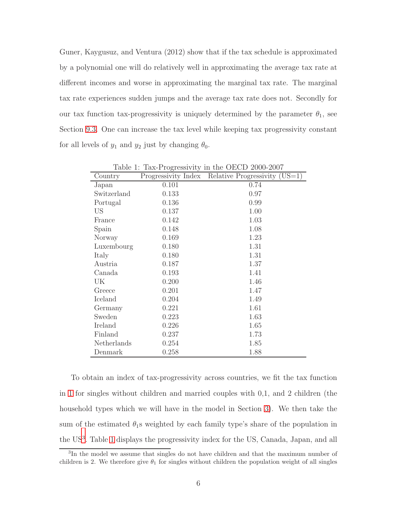Guner, Kaygusuz, and Ventura (2012) show that if the tax schedule is approximated by a polynomial one will do relatively well in approximating the average tax rate at different incomes and worse in approximating the marginal tax rate. The marginal tax rate experiences sudden jumps and the average tax rate does not. Secondly for our tax function tax-progressivity is uniquely determined by the parameter  $\theta_1$ , see Section [9.3.](#page-35-0) One can increase the tax level while keeping tax progressivity constant for all levels of  $y_1$  and  $y_2$  just by changing  $\theta_0$ .

| Country     |       | Progressivity Index Relative Progressivity (US=1) |
|-------------|-------|---------------------------------------------------|
| Japan       | 0.101 | 0.74                                              |
| Switzerland | 0.133 | 0.97                                              |
| Portugal    | 0.136 | 0.99                                              |
| US          | 0.137 | 1.00                                              |
| France      | 0.142 | 1.03                                              |
| Spain       | 0.148 | 1.08                                              |
| Norway      | 0.169 | 1.23                                              |
| Luxembourg  | 0.180 | 1.31                                              |
| Italy       | 0.180 | 1.31                                              |
| Austria     | 0.187 | 1.37                                              |
| Canada      | 0.193 | 1.41                                              |
| UK          | 0.200 | 1.46                                              |
| Greece      | 0.201 | 1.47                                              |
| Iceland     | 0.204 | 1.49                                              |
| Germany     | 0.221 | 1.61                                              |
| Sweden      | 0.223 | 1.63                                              |
| Ireland     | 0.226 | 1.65                                              |
| Finland     | 0.237 | 1.73                                              |
| Netherlands | 0.254 | 1.85                                              |
| Denmark     | 0.258 | 1.88                                              |

<span id="page-7-1"></span>Table 1: Tax-Progressivity in the OECD 2000-2007

To obtain an index of tax-progressivity across countries, we fit the tax function in [1](#page-6-2) for singles without children and married couples with 0,1, and 2 children (the household types which we will have in the model in Section [3\)](#page-8-0). We then take the sum of the estimated  $\theta_1$ s weighted by each family type's share of the population in the US<sup>[3](#page-7-0)</sup>. Table [1](#page-7-1) displays the progressivity index for the US, Canada, Japan, and all

<span id="page-7-0"></span><sup>3</sup> In the model we assume that singles do not have children and that the maximum number of children is 2. We therefore give  $\theta_1$  for singles without children the population weight of all singles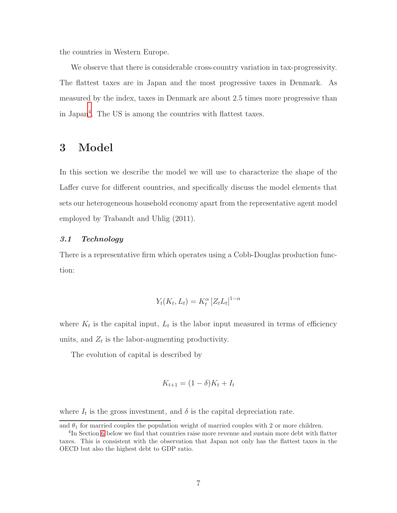the countries in Western Europe.

We observe that there is considerable cross-country variation in tax-progressivity. The flattest taxes are in Japan and the most progressive taxes in Denmark. As measured by the index, taxes in Denmark are about 2.5 times more progressive than in Japan[4](#page-8-1) . The US is among the countries with flattest taxes.

## <span id="page-8-0"></span>3 Model

In this section we describe the model we will use to characterize the shape of the Laffer curve for different countries, and specifically discuss the model elements that sets our heterogeneous household economy apart from the representative agent model employed by Trabandt and Uhlig (2011).

#### 3.1 Technology

There is a representative firm which operates using a Cobb-Douglas production function:

$$
Y_t(K_t, L_t) = K_t^{\alpha} \left[ Z_t L_t \right]^{1-\alpha}
$$

where  $K_t$  is the capital input,  $L_t$  is the labor input measured in terms of efficiency units, and  $Z_t$  is the labor-augmenting productivity.

The evolution of capital is described by

$$
K_{t+1} = (1 - \delta)K_t + I_t
$$

where  $I_t$  is the gross investment, and  $\delta$  is the capital depreciation rate.

and  $\theta_1$  for married couples the population weight of married couples with 2 or more children.

<span id="page-8-1"></span><sup>&</sup>lt;sup>4</sup>In Section [6](#page-25-0) below we find that countries raise more revenue and sustain more debt with flatter taxes. This is consistent with the observation that Japan not only has the flattest taxes in the OECD but also the highest debt to GDP ratio.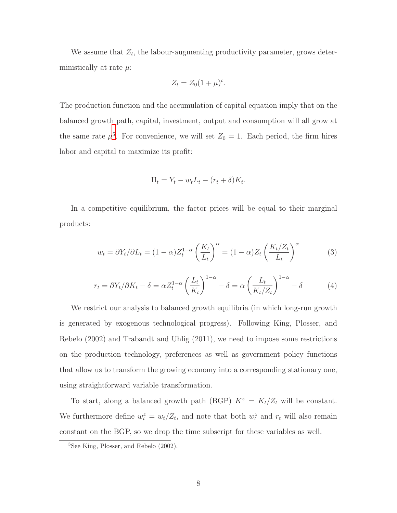We assume that  $Z_t$ , the labour-augmenting productivity parameter, grows deterministically at rate  $\mu$ :

$$
Z_t = Z_0(1+\mu)^t.
$$

The production function and the accumulation of capital equation imply that on the balanced growth path, capital, investment, output and consumption will all grow at the same rate  $\mu^5$  $\mu^5$ . For convenience, we will set  $Z_0 = 1$ . Each period, the firm hires labor and capital to maximize its profit:

$$
\Pi_t = Y_t - w_t L_t - (r_t + \delta) K_t.
$$

In a competitive equilibrium, the factor prices will be equal to their marginal products:

$$
w_t = \partial Y_t / \partial L_t = (1 - \alpha) Z_t^{1 - \alpha} \left(\frac{K_t}{L_t}\right)^{\alpha} = (1 - \alpha) Z_t \left(\frac{K_t / Z_t}{L_t}\right)^{\alpha} \tag{3}
$$

$$
r_t = \frac{\partial Y_t}{\partial K_t} - \delta = \alpha Z_t^{1-\alpha} \left(\frac{L_t}{K_t}\right)^{1-\alpha} - \delta = \alpha \left(\frac{L_t}{K_t/Z_t}\right)^{1-\alpha} - \delta \tag{4}
$$

We restrict our analysis to balanced growth equilibria (in which long-run growth is generated by exogenous technological progress). Following King, Plosser, and Rebelo (2002) and Trabandt and Uhlig (2011), we need to impose some restrictions on the production technology, preferences as well as government policy functions that allow us to transform the growing economy into a corresponding stationary one, using straightforward variable transformation.

To start, along a balanced growth path (BGP)  $K^z = K_t/Z_t$  will be constant. We furthermore define  $w_t^z = w_t/Z_t$ , and note that both  $w_t^z$  and  $r_t$  will also remain constant on the BGP, so we drop the time subscript for these variables as well.

<span id="page-9-0"></span><sup>5</sup>See King, Plosser, and Rebelo (2002).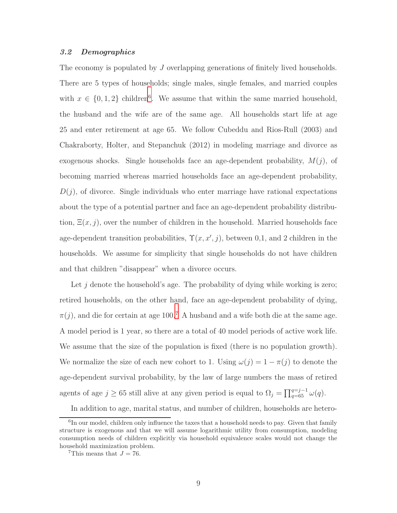#### 3.2 Demographics

The economy is populated by J overlapping generations of finitely lived households. There are 5 types of households; single males, single females, and married couples with  $x \in \{0, 1, 2\}$  children<sup>[6](#page-10-0)</sup>. We assume that within the same married household, the husband and the wife are of the same age. All households start life at age 25 and enter retirement at age 65. We follow Cubeddu and Rios-Rull (2003) and Chakraborty, Holter, and Stepanchuk (2012) in modeling marriage and divorce as exogenous shocks. Single households face an age-dependent probability,  $M(j)$ , of becoming married whereas married households face an age-dependent probability,  $D(j)$ , of divorce. Single individuals who enter marriage have rational expectations about the type of a potential partner and face an age-dependent probability distribution,  $\Xi(x, j)$ , over the number of children in the household. Married households face age-dependent transition probabilities,  $\Upsilon(x, x', j)$ , between 0,1, and 2 children in the households. We assume for simplicity that single households do not have children and that children "disappear" when a divorce occurs.

Let  $j$  denote the household's age. The probability of dying while working is zero; retired households, on the other hand, face an age-dependent probability of dying,  $\pi(j)$ , and die for certain at age 100.<sup>[7](#page-10-1)</sup> A husband and a wife both die at the same age. A model period is 1 year, so there are a total of 40 model periods of active work life. We assume that the size of the population is fixed (there is no population growth). We normalize the size of each new cohort to 1. Using  $\omega(j) = 1 - \pi(j)$  to denote the age-dependent survival probability, by the law of large numbers the mass of retired agents of age  $j \geq 65$  still alive at any given period is equal to  $\Omega_j = \prod_{q=65}^{q=j-1} \omega(q)$ .

In addition to age, marital status, and number of children, households are hetero-

<span id="page-10-0"></span><sup>&</sup>lt;sup>6</sup>In our model, children only influence the taxes that a household needs to pay. Given that family structure is exogenous and that we will assume logarithmic utility from consumption, modeling consumption needs of children explicitly via household equivalence scales would not change the household maximization problem.

<span id="page-10-1"></span><sup>&</sup>lt;sup>7</sup>This means that  $J = 76$ .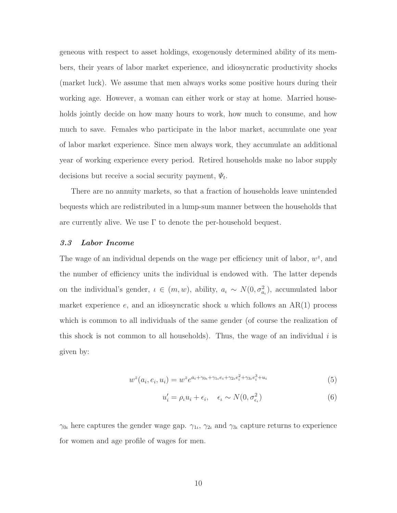geneous with respect to asset holdings, exogenously determined ability of its members, their years of labor market experience, and idiosyncratic productivity shocks (market luck). We assume that men always works some positive hours during their working age. However, a woman can either work or stay at home. Married households jointly decide on how many hours to work, how much to consume, and how much to save. Females who participate in the labor market, accumulate one year of labor market experience. Since men always work, they accumulate an additional year of working experience every period. Retired households make no labor supply decisions but receive a social security payment,  $\Psi_t$ .

There are no annuity markets, so that a fraction of households leave unintended bequests which are redistributed in a lump-sum manner between the households that are currently alive. We use  $\Gamma$  to denote the per-household bequest.

#### 3.3 Labor Income

The wage of an individual depends on the wage per efficiency unit of labor,  $w^z$ , and the number of efficiency units the individual is endowed with. The latter depends on the individual's gender,  $\iota \in (m, w)$ , ability,  $a_{\iota} \sim N(0, \sigma_{a_{\iota}}^2)$ , accumulated labor market experience e, and an idiosyncratic shock u which follows an  $AR(1)$  process which is common to all individuals of the same gender (of course the realization of this shock is not common to all households). Thus, the wage of an individual  $i$  is given by:

$$
w^{z}(a_i, e_i, u_i) = w^{z}e^{a_i + \gamma_{0\iota} + \gamma_{1\iota}e_i + \gamma_{2\iota}e_i^2 + \gamma_{3\iota}e_i^3 + u_i}
$$
(5)

<span id="page-11-1"></span><span id="page-11-0"></span>
$$
u_i' = \rho_t u_i + \epsilon_i, \quad \epsilon_t \sim N(0, \sigma_{\epsilon_t}^2)
$$
\n
$$
(6)
$$

 $\gamma_{0l}$  here captures the gender wage gap.  $\gamma_{1l}$ ,  $\gamma_{2l}$  and  $\gamma_{3l}$  capture returns to experience for women and age profile of wages for men.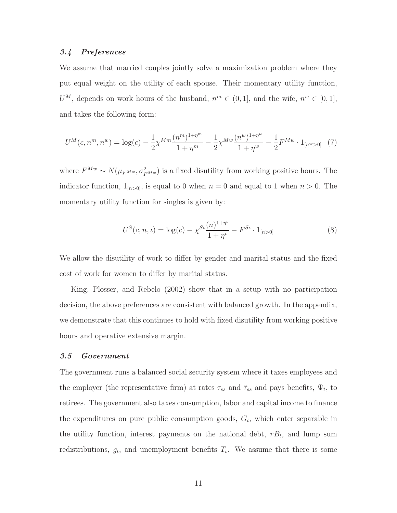#### 3.4 Preferences

We assume that married couples jointly solve a maximization problem where they put equal weight on the utility of each spouse. Their momentary utility function,  $U^M$ , depends on work hours of the husband,  $n^m \in (0,1]$ , and the wife,  $n^w \in [0,1]$ , and takes the following form:

<span id="page-12-0"></span>
$$
U^{M}(c, n^{m}, n^{w}) = \log(c) - \frac{1}{2} \chi^{Mm} \frac{(n^{m})^{1+\eta^{m}}}{1+\eta^{m}} - \frac{1}{2} \chi^{Mw} \frac{(n^{w})^{1+\eta^{w}}}{1+\eta^{w}} - \frac{1}{2} F^{Mw} \cdot 1_{[n^{w}>0]} \tag{7}
$$

where  $F^{Mw} \sim N(\mu_{F^{Mw}}, \sigma_{F^{Mw}}^2)$  is a fixed disutility from working positive hours. The indicator function,  $1_{[n>0]}$ , is equal to 0 when  $n = 0$  and equal to 1 when  $n > 0$ . The momentary utility function for singles is given by:

<span id="page-12-1"></span>
$$
U^{S}(c, n, \iota) = \log(c) - \chi^{S_{\iota}} \frac{(n)^{1+\eta}}{1+\eta^{\iota}} - F^{S_{\iota}} \cdot 1_{[n>0]}
$$
\n(8)

We allow the disutility of work to differ by gender and marital status and the fixed cost of work for women to differ by marital status.

King, Plosser, and Rebelo (2002) show that in a setup with no participation decision, the above preferences are consistent with balanced growth. In the appendix, we demonstrate that this continues to hold with fixed disutility from working positive hours and operative extensive margin.

#### 3.5 Government

The government runs a balanced social security system where it taxes employees and the employer (the representative firm) at rates  $\tau_{ss}$  and  $\tilde{\tau}_{ss}$  and pays benefits,  $\Psi_t$ , to retirees. The government also taxes consumption, labor and capital income to finance the expenditures on pure public consumption goods,  $G_t$ , which enter separable in the utility function, interest payments on the national debt,  $rB_t$ , and lump sum redistributions,  $g_t$ , and unemployment benefits  $T_t$ . We assume that there is some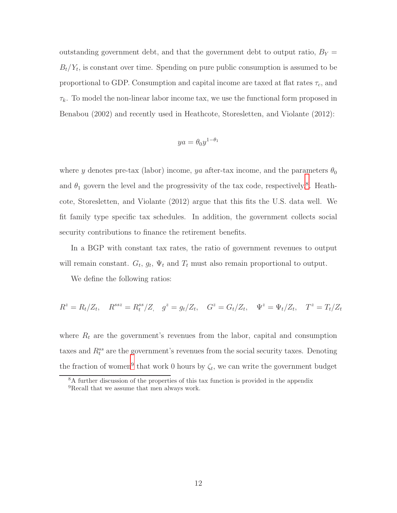outstanding government debt, and that the government debt to output ratio,  $B_Y =$  $B_t/Y_t$ , is constant over time. Spending on pure public consumption is assumed to be proportional to GDP. Consumption and capital income are taxed at flat rates  $\tau_c$ , and  $\tau_k$ . To model the non-linear labor income tax, we use the functional form proposed in Benabou (2002) and recently used in Heathcote, Storesletten, and Violante (2012):

$$
ya = \theta_0 y^{1-\theta_1}
$$

where y denotes pre-tax (labor) income, ya after-tax income, and the parameters  $\theta_0$ and  $\theta_1$  govern the level and the progressivity of the tax code, respectively.<sup>[8](#page-13-0)</sup>. Heathcote, Storesletten, and Violante (2012) argue that this fits the U.S. data well. We fit family type specific tax schedules. In addition, the government collects social security contributions to finance the retirement benefits.

In a BGP with constant tax rates, the ratio of government revenues to output will remain constant.  $G_t$ ,  $g_t$ ,  $\Psi_t$  and  $T_t$  must also remain proportional to output.

We define the following ratios:

$$
R^z = R_t/Z_t, \quad R^{ssz} = R_t^{ss}/Z, \quad g^z = g_t/Z_t, \quad G^z = G_t/Z_t, \quad \Psi^z = \Psi_t/Z_t, \quad T^z = T_t/Z_t
$$

where  $R_t$  are the government's revenues from the labor, capital and consumption taxes and  $R_t^{ss}$  are the government's revenues from the social security taxes. Denoting the fraction of women<sup>[9](#page-13-1)</sup> that work 0 hours by  $\zeta_t$ , we can write the government budget

<sup>8</sup>A further discussion of the properties of this tax function is provided in the appendix

<span id="page-13-1"></span><span id="page-13-0"></span><sup>&</sup>lt;sup>9</sup>Recall that we assume that men always work.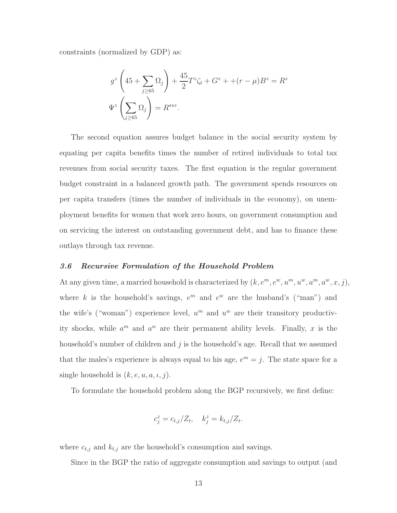constraints (normalized by GDP) as:

$$
g^z \left( 45 + \sum_{j \ge 65} \Omega_j \right) + \frac{45}{2} T^z \zeta_t + G^z + \left( r - \mu \right) B^z = R^z
$$
  

$$
\Psi^z \left( \sum_{j \ge 65} \Omega_j \right) = R^{ssz}.
$$

The second equation assures budget balance in the social security system by equating per capita benefits times the number of retired individuals to total tax revenues from social security taxes. The first equation is the regular government budget constraint in a balanced growth path. The government spends resources on per capita transfers (times the number of individuals in the economy), on unemployment benefits for women that work zero hours, on government consumption and on servicing the interest on outstanding government debt, and has to finance these outlays through tax revenue.

#### 3.6 Recursive Formulation of the Household Problem

At any given time, a married household is characterized by  $(k, e^m, e^w, u^m, u^w, a^m, a^w, x, j)$ , where k is the household's savings,  $e^m$  and  $e^w$  are the husband's ("man") and the wife's ("woman") experience level,  $u^m$  and  $u^w$  are their transitory productivity shocks, while  $a^m$  and  $a^w$  are their permanent ability levels. Finally, x is the household's number of children and  $j$  is the household's age. Recall that we assumed that the males's experience is always equal to his age,  $e^m = j$ . The state space for a single household is  $(k, e, u, a, \iota, j)$ .

To formulate the household problem along the BGP recursively, we first define:

$$
c_j^z = c_{t,j}/Z_t, \quad k_j^z = k_{t,j}/Z_t.
$$

where  $c_{t,j}$  and  $k_{t,j}$  are the household's consumption and savings.

Since in the BGP the ratio of aggregate consumption and savings to output (and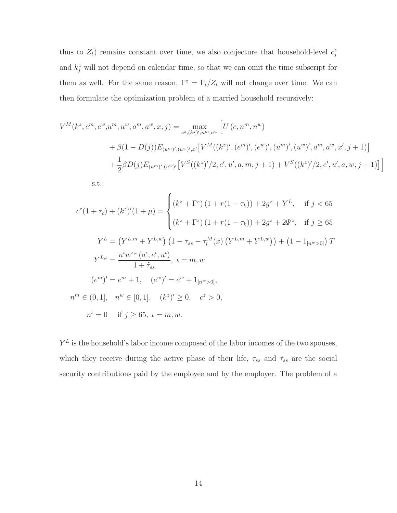thus to  $Z_t$ ) remains constant over time, we also conjecture that household-level  $c_j^z$ and  $k_j^z$  will not depend on calendar time, so that we can omit the time subscript for them as well. For the same reason,  $\Gamma^z = \Gamma_t/Z_t$  will not change over time. We can then formulate the optimization problem of a married household recursively:

$$
V^{M}(k^{z}, e^{m}, e^{w}, u^{m}, u^{w}, a^{m}, a^{w}, x, j) = \max_{c^{z}, (k^{z})', n^{m}, n^{w}} \left[ U(c, n^{m}, n^{w}) + \beta(1 - D(j)) E_{(u^{m})', (u^{w})', x'} \left[ V^{M}((k^{z})', (e^{m})', (e^{w})', (u^{m})', (u^{w})', a^{m}, a^{w}, x', j+1) \right] + \frac{1}{2} \beta D(j) E_{(u^{m})', (u^{w})'} \left[ V^{S}((k^{z})'/2, e', u', a, m, j+1) + V^{S}((k^{z})'/2, e', u', a, w, j+1) \right] \right]
$$

s.t.:

$$
c^{z}(1+\tau_{c}) + (k^{z})'(1+\mu) = \begin{cases} (k^{z} + \Gamma^{z}) (1 + r(1-\tau_{k})) + 2g^{z} + Y^{L}, & \text{if } j < 65\\ (k^{z} + \Gamma^{z}) (1 + r(1-\tau_{k})) + 2g^{z} + 2\Psi^{z}, & \text{if } j \ge 65 \end{cases}
$$
  

$$
Y^{L} = (Y^{L,m} + Y^{L,w}) (1 - \tau_{ss} - \tau_{l}^{M}(x) (Y^{L,m} + Y^{L,w})) + (1 - 1_{[n^{w}>0]}) T
$$
  

$$
Y^{L,\iota} = \frac{n^{i}w^{z,\iota} (a^{\iota}, e^{\iota}, u^{\iota})}{1 + \tilde{\tau}_{ss}}, \quad \iota = m, w
$$
  

$$
(e^{m})' = e^{m} + 1, \quad (e^{w})' = e^{w} + 1_{[n^{w}>0]},
$$
  

$$
n^{m} \in (0, 1], \quad n^{w} \in [0, 1], \quad (k^{z})' \ge 0, \quad c^{z} > 0,
$$
  

$$
n^{\iota} = 0 \quad \text{if } j \ge 65, \quad \iota = m, w.
$$

 $Y<sup>L</sup>$  is the household's labor income composed of the labor incomes of the two spouses, which they receive during the active phase of their life,  $\tau_{ss}$  and  $\tilde{\tau}_{ss}$  are the social security contributions paid by the employee and by the employer. The problem of a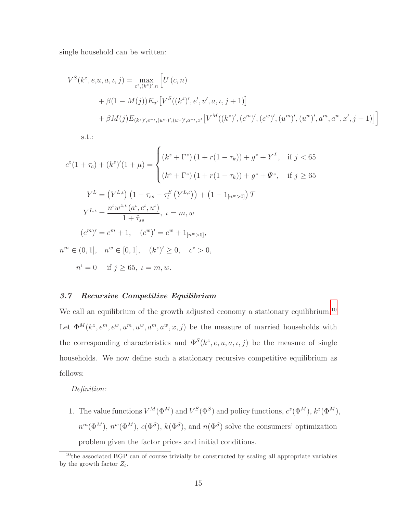single household can be written:

$$
V^{S}(k^{z}, e, u, a, \iota, j) = \max_{c^{z}, (k^{z})', n} \left[ U(c, n) + \beta(1 - M(j)) E_{u'}[V^{S}((k^{z})', e', u', a, \iota, j + 1)] + \beta M(j) E_{(k^{z})', e^{-\iota}, (u^{m})', (u^{w})', a^{-\iota}, x'}[V^{M}((k^{z})', (e^{m})', (e^{w})', (u^{m})', (u^{w})', a^{m}, a^{w}, x', j + 1)] \right]
$$

s.t.:

$$
c^{z}(1+\tau_{c}) + (k^{z})'(1+\mu) = \begin{cases} (k^{z} + \Gamma^{z}) (1 + r(1-\tau_{k})) + g^{z} + Y^{L}, & \text{if } j < 65 \\ (k^{z} + \Gamma^{z}) (1 + r(1-\tau_{k})) + g^{z} + \Psi^{z}, & \text{if } j \ge 65 \end{cases}
$$
  
\n
$$
Y^{L} = (Y^{L,\iota}) (1 - \tau_{ss} - \tau_{l}^{S} (Y^{L,\iota})) + (1 - 1_{[n^{w} > 0]}) T
$$
  
\n
$$
Y^{L,\iota} = \frac{n^{\iota} w^{z,\iota} (a^{\iota}, e^{\iota}, u^{\iota})}{1 + \tilde{\tau}_{ss}}, \quad \iota = m, w
$$
  
\n
$$
(e^{m})' = e^{m} + 1, \quad (e^{w})' = e^{w} + 1_{[n^{w} > 0]},
$$
  
\n
$$
n^{m} \in (0, 1], \quad n^{w} \in [0, 1], \quad (k^{z})' \ge 0, \quad c^{z} > 0,
$$
  
\n
$$
n^{\iota} = 0 \quad \text{if } j \ge 65, \quad \iota = m, w.
$$

#### 3.7 Recursive Competitive Equilibrium

We call an equilibrium of the growth adjusted economy a stationary equilibrium.<sup>[10](#page-16-0)</sup> Let  $\Phi^M(k^z, e^m, e^w, u^m, u^w, a^m, a^w, x, j)$  be the measure of married households with the corresponding characteristics and  $\Phi^{S}(k^{z}, e, u, a, \iota, j)$  be the measure of single households. We now define such a stationary recursive competitive equilibrium as follows:

Definition:

1. The value functions  $V^M(\Phi^M)$  and  $V^S(\Phi^S)$  and policy functions,  $c^z(\Phi^M)$ ,  $k^z(\Phi^M)$ ,  $n^m(\Phi^M)$ ,  $n^w(\Phi^M)$ ,  $c(\Phi^S)$ ,  $k(\Phi^S)$ , and  $n(\Phi^S)$  solve the consumers' optimization problem given the factor prices and initial conditions.

<span id="page-16-0"></span><sup>&</sup>lt;sup>10</sup>the associated BGP can of course trivially be constructed by scaling all appropriate variables by the growth factor  $Z_t$ .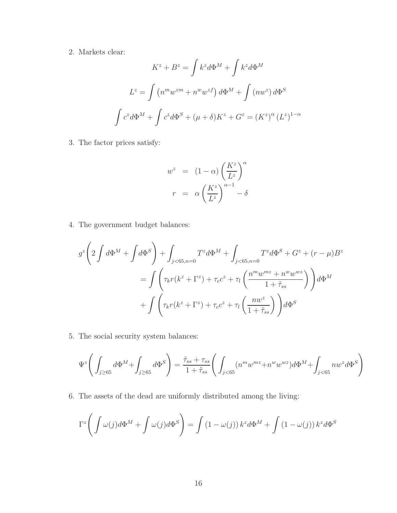2. Markets clear:

$$
K^{z} + B^{z} = \int k^{z} d\Phi^{M} + \int k^{z} d\Phi^{M}
$$

$$
L^{z} = \int (n^{m} w^{zm} + n^{w} w^{zf}) d\Phi^{M} + \int (nw^{z}) d\Phi^{S}
$$

$$
\int c^{z} d\Phi^{M} + \int c^{z} d\Phi^{S} + (\mu + \delta) K^{z} + G^{z} = (K^{z})^{\alpha} (L^{z})^{1-\alpha}
$$

3. The factor prices satisfy:

$$
w^{z} = (1 - \alpha) \left(\frac{K^{z}}{L^{z}}\right)^{\alpha}
$$

$$
r = \alpha \left(\frac{K^{z}}{L^{z}}\right)^{\alpha - 1} - \delta
$$

4. The government budget balances:

$$
g^{z}\left(2\int d\Phi^{M} + \int d\Phi^{S}\right) + \int_{j<65, n=0} T^{z}d\Phi^{M} + \int_{j<65, n=0} T^{z}d\Phi^{S} + G^{z} + (r - \mu)B^{z}
$$

$$
= \int \left(\tau_{k}r(k^{z} + \Gamma^{z}) + \tau_{c}c^{z} + \tau_{l}\left(\frac{n^{m}w^{mz} + n^{w}w^{wz}}{1 + \tilde{\tau}_{ss}}\right)\right)d\Phi^{M}
$$

$$
+ \int \left(\tau_{k}r(k^{z} + \Gamma^{z}) + \tau_{c}c^{z} + \tau_{l}\left(\frac{nw^{z}}{1 + \tilde{\tau}_{ss}}\right)\right)d\Phi^{S}
$$

5. The social security system balances:

$$
\Psi^z\Bigg(\int_{j\geq 65}d\Phi^M+\int_{j\geq 65}d\Phi^S\Bigg)=\frac{\tilde\tau_{ss}+\tau_{ss}}{1+\tilde\tau_{ss}}\Bigg(\int_{j<65}(n^mw^{mz}+n^ww^{wz})d\Phi^M+\int_{j<65}nw^zd\Phi^S\Bigg)
$$

6. The assets of the dead are uniformly distributed among the living:

$$
\Gamma^{z}\left(\int \omega(j)d\Phi^{M} + \int \omega(j)d\Phi^{S}\right) = \int \left(1 - \omega(j)\right)k^{z}d\Phi^{M} + \int \left(1 - \omega(j)\right)k^{z}d\Phi^{S}
$$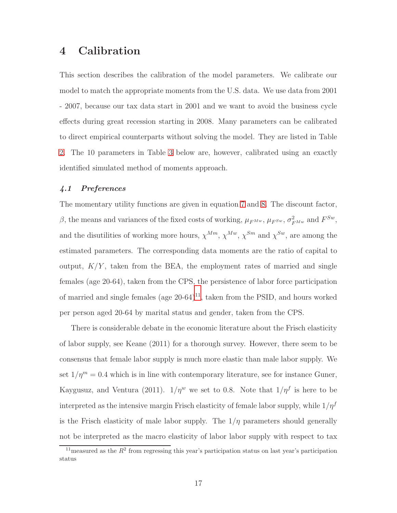## <span id="page-18-0"></span>4 Calibration

This section describes the calibration of the model parameters. We calibrate our model to match the appropriate moments from the U.S. data. We use data from 2001 - 2007, because our tax data start in 2001 and we want to avoid the business cycle effects during great recession starting in 2008. Many parameters can be calibrated to direct empirical counterparts without solving the model. They are listed in Table [2.](#page-21-0) The 10 parameters in Table [3](#page-22-0) below are, however, calibrated using an exactly identified simulated method of moments approach.

#### 4.1 Preferences

The momentary utility functions are given in equation [7](#page-12-0) and [8.](#page-12-1) The discount factor, β, the means and variances of the fixed costs of working,  $\mu_{F^{Mw}}$ ,  $\mu_{F^{Sw}}$ ,  $\sigma_{F^{Mw}}^2$  and  $F^{Sw}$ , and the disutilities of working more hours,  $\chi^{Mm}$ ,  $\chi^{Mw}$ ,  $\chi^{Sm}$  and  $\chi^{Sw}$ , are among the estimated parameters. The corresponding data moments are the ratio of capital to output,  $K/Y$ , taken from the BEA, the employment rates of married and single females (age 20-64), taken from the CPS, the persistence of labor force participation of married and single females (age  $20-64$ )<sup>[11](#page-18-1)</sup>, taken from the PSID, and hours worked per person aged 20-64 by marital status and gender, taken from the CPS.

There is considerable debate in the economic literature about the Frisch elasticity of labor supply, see Keane (2011) for a thorough survey. However, there seem to be consensus that female labor supply is much more elastic than male labor supply. We set  $1/\eta^m = 0.4$  which is in line with contemporary literature, see for instance Guner, Kaygusuz, and Ventura (2011).  $1/\eta^w$  we set to 0.8. Note that  $1/\eta^f$  is here to be interpreted as the intensive margin Frisch elasticity of female labor supply, while  $1/\eta^f$ is the Frisch elasticity of male labor supply. The  $1/\eta$  parameters should generally not be interpreted as the macro elasticity of labor labor supply with respect to tax

<span id="page-18-1"></span><sup>&</sup>lt;sup>11</sup> measured as the  $R^2$  from regressing this year's participation status on last year's participation status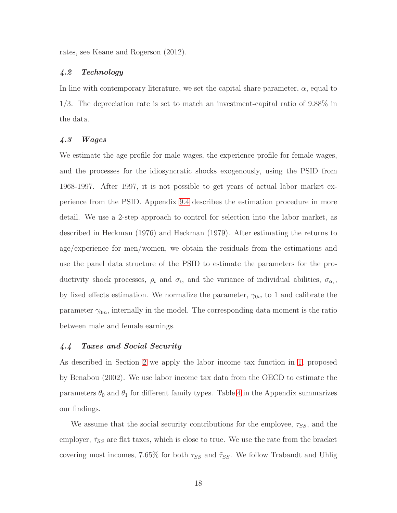rates, see Keane and Rogerson (2012).

#### 4.2 Technology

In line with contemporary literature, we set the capital share parameter,  $\alpha$ , equal to 1/3. The depreciation rate is set to match an investment-capital ratio of 9.88% in the data.

#### 4.3 Wages

We estimate the age profile for male wages, the experience profile for female wages, and the processes for the idiosyncratic shocks exogenously, using the PSID from 1968-1997. After 1997, it is not possible to get years of actual labor market experience from the PSID. Appendix [9.4](#page-37-0) describes the estimation procedure in more detail. We use a 2-step approach to control for selection into the labor market, as described in Heckman (1976) and Heckman (1979). After estimating the returns to age/experience for men/women, we obtain the residuals from the estimations and use the panel data structure of the PSID to estimate the parameters for the productivity shock processes,  $\rho_t$  and  $\sigma_t$ , and the variance of individual abilities,  $\sigma_{\alpha_t}$ , by fixed effects estimation. We normalize the parameter,  $\gamma_{0w}$  to 1 and calibrate the parameter  $\gamma_{0m}$ , internally in the model. The corresponding data moment is the ratio between male and female earnings.

#### 4.4 Taxes and Social Security

As described in Section [2](#page-6-0) we apply the labor income tax function in [1,](#page-6-2) proposed by Benabou (2002). We use labor income tax data from the OECD to estimate the parameters  $\theta_0$  and  $\theta_1$  for different family types. Table [4](#page-38-0) in the Appendix summarizes our findings.

We assume that the social security contributions for the employee,  $\tau_{SS}$ , and the employer,  $\tilde{\tau}_{SS}$  are flat taxes, which is close to true. We use the rate from the bracket covering most incomes, 7.65% for both  $\tau_{SS}$  and  $\tilde{\tau}_{SS}$ . We follow Trabandt and Uhlig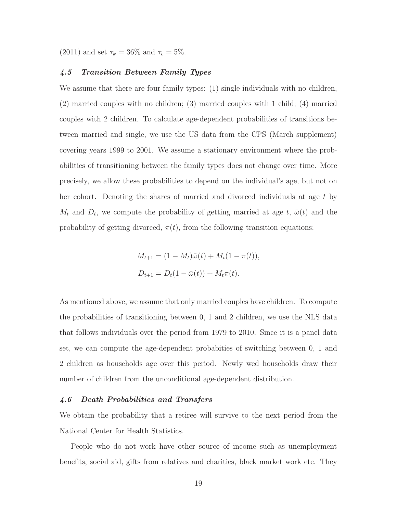(2011) and set  $\tau_k = 36\%$  and  $\tau_c = 5\%$ .

#### 4.5 Transition Between Family Types

We assume that there are four family types: (1) single individuals with no children, (2) married couples with no children; (3) married couples with 1 child; (4) married couples with 2 children. To calculate age-dependent probabilities of transitions between married and single, we use the US data from the CPS (March supplement) covering years 1999 to 2001. We assume a stationary environment where the probabilities of transitioning between the family types does not change over time. More precisely, we allow these probabilities to depend on the individual's age, but not on her cohort. Denoting the shares of married and divorced individuals at age t by  $M_t$  and  $D_t$ , we compute the probability of getting married at age t,  $\bar{\omega}(t)$  and the probability of getting divorced,  $\pi(t)$ , from the following transition equations:

$$
M_{t+1} = (1 - M_t)\bar{\omega}(t) + M_t(1 - \pi(t)),
$$
  

$$
D_{t+1} = D_t(1 - \bar{\omega}(t)) + M_t\pi(t).
$$

As mentioned above, we assume that only married couples have children. To compute the probabilities of transitioning between 0, 1 and 2 children, we use the NLS data that follows individuals over the period from 1979 to 2010. Since it is a panel data set, we can compute the age-dependent probabities of switching between 0, 1 and 2 children as households age over this period. Newly wed households draw their number of children from the unconditional age-dependent distribution.

#### 4.6 Death Probabilities and Transfers

We obtain the probability that a retiree will survive to the next period from the National Center for Health Statistics.

People who do not work have other source of income such as unemployment benefits, social aid, gifts from relatives and charities, black market work etc. They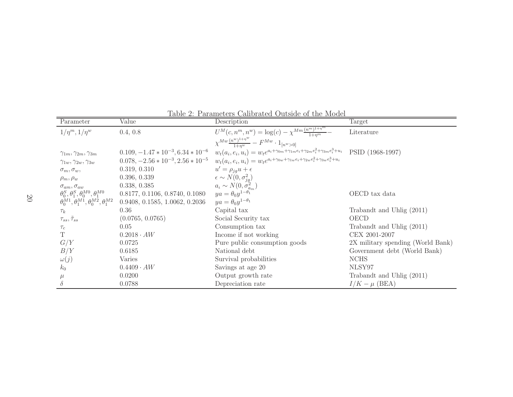| Parameter                                                    | Value                                    | Description                                                                                                                                                                                                                          | Target                            |
|--------------------------------------------------------------|------------------------------------------|--------------------------------------------------------------------------------------------------------------------------------------------------------------------------------------------------------------------------------------|-----------------------------------|
| $1/\eta^m, 1/\eta^w$                                         | 0.4, 0.8                                 | $U^M(c, n^m, n^w) = \log(c) - \chi^{Mm} \frac{(n^m)^{1+\eta^m}}{1+\eta^m}$                                                                                                                                                           | Literature                        |
|                                                              |                                          | $\chi^{Mw} \frac{(n^w)^{1+\eta^w}}{1+n^w} - F^{Mw} \cdot 1_{[n^w > 0]}$                                                                                                                                                              |                                   |
| $\gamma_{1m}, \gamma_{2m}, \gamma_{3m}$                      | $0.109, -1.47 * 10^{-3}, 6.34 * 10^{-6}$ | $w_t(a_i, e_i, u_i) = w_t e^{a_i + \gamma_{0m} + \gamma_{1m} e_i + \gamma_{2m} e_i^2 + \gamma_{3m} e_i^3 + u_i}$<br>$w_t(a_i, e_i, u_i) = w_t e^{a_i + \gamma_{0w} + \gamma_{1w} e_i + \gamma_{2w} e_i^2 + \gamma_{3w} e_i^3 + u_i}$ | PSID (1968-1997)                  |
| $\gamma_{1w}, \gamma_{2w}, \gamma_{3w}$                      | $0.078, -2.56 * 10^{-3}, 2.56 * 10^{-5}$ |                                                                                                                                                                                                                                      |                                   |
| $\sigma_m, \sigma_w,$                                        | 0.319, 0.310                             | $u' = \rho_{ja}u + \epsilon$                                                                                                                                                                                                         |                                   |
| $\rho_m, \rho_w$                                             | 0.396, 0.339                             | $\epsilon \sim N(0, \sigma_{jq}^2)$                                                                                                                                                                                                  |                                   |
| $\sigma_{am}, \sigma_{aw}$                                   | 0.338, 0.385                             | $a_t \sim N(0, \sigma_{am}^2)$                                                                                                                                                                                                       |                                   |
| $\theta_0^S, \theta_1^S, \theta_0^{M0}, \theta_1^{M0}$       | 0.8177, 0.1106, 0.8740, 0.1080           | $ya = \theta_0 y^{1-\theta_1}$                                                                                                                                                                                                       | OECD tax data                     |
| $\theta_0^{M1}, \theta_1^{M1}, \theta_0^{M2}, \theta_1^{M2}$ | 0.9408, 0.1585, 1.0062, 0.2036           | $ya = \theta_0 y^{1-\theta_1}$                                                                                                                                                                                                       |                                   |
| $\tau_k$                                                     | 0.36                                     | Capital tax                                                                                                                                                                                                                          | Trabandt and Uhlig (2011)         |
| $\tau_{ss}, \tilde{\tau}_{ss}$                               | (0.0765, 0.0765)                         | Social Security tax                                                                                                                                                                                                                  | <b>OECD</b>                       |
| $\tau_c$                                                     | 0.05                                     | Consumption tax                                                                                                                                                                                                                      | Trabandt and Uhlig (2011)         |
| T                                                            | $0.2018 \cdot AW$                        | Income if not working                                                                                                                                                                                                                | CEX 2001-2007                     |
| G/Y                                                          | 0.0725                                   | Pure public consumption goods                                                                                                                                                                                                        | 2X military spending (World Bank) |
| B/Y                                                          | 0.6185                                   | National debt                                                                                                                                                                                                                        | Government debt (World Bank)      |
| $\omega(j)$                                                  | Varies                                   | Survival probabilities                                                                                                                                                                                                               | <b>NCHS</b>                       |
| $k_0$                                                        | $0.4409 \cdot AW$                        | Savings at age 20                                                                                                                                                                                                                    | NLSY97                            |
| $\mu$                                                        | 0.0200                                   | Output growth rate                                                                                                                                                                                                                   | Trabandt and Uhlig (2011)         |
| $\delta$                                                     | 0.0788                                   | Depreciation rate                                                                                                                                                                                                                    | $I/K - \mu$ (BEA)                 |

<span id="page-21-0"></span>Table 2: Parameters Calibrated Outside of the Model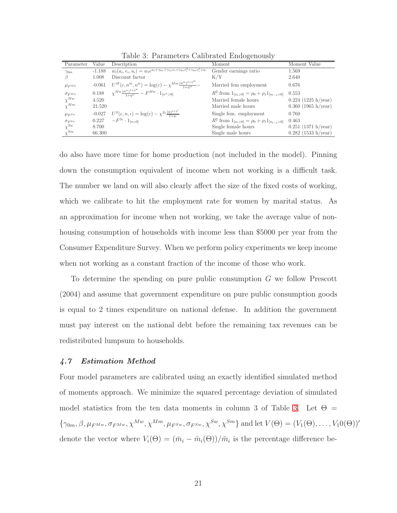| Parameter         | Value    | Description                                                                                                                 | Moment                                                     | Moment Value          |
|-------------------|----------|-----------------------------------------------------------------------------------------------------------------------------|------------------------------------------------------------|-----------------------|
| $\gamma_{0m}$     | $-1.188$ | $w_t(a_i, e_i, u_i) = w_t e^{a_i + \overline{\gamma_{0w} + \gamma_{1w} e_i + \gamma_{2w} e_i^2 + \gamma_{3w} e_i^3 + u_i}}$ | Gender earnings ratio                                      | 1.569                 |
| β                 | 1.008    | Discount factor                                                                                                             | K/Y                                                        | 2.640                 |
| $\mu_{F^{Mw}}$    | $-0.061$ | $U^M(c, n^m, n^w) = \log(c) - \chi^{Mm} \frac{(n^m)^{1+\eta^m}}{1+n^m}$                                                     | Married fem employment                                     | 0.676                 |
| $\sigma_{F^{Mw}}$ |          | 0.188 $\chi^{Mw} \frac{(n^w)^{1+\eta^w}}{1+n^w} - F^{Mw} \cdot 1_{[n^w > 0]}$                                               | $R^2$ from $1_{[n_t>0]} = \rho_0 + \rho_1 1_{[n_{t-1}>0]}$ | 0.553                 |
| $\chi^{Mw}$       | 4.520    |                                                                                                                             | Married female hours                                       | $0.224$ (1225 h/year) |
| $\chi^{Mm}$       | 21.520   |                                                                                                                             | Married male hours                                         | $0.360$ (1965 h/year) |
| $\mu_{F^{Sw}}$    |          | $-0.027$ $U^{S}(c, n, t) = \log(c) - \chi^{S_{t}(\frac{n}{1+n^{t}})}$                                                       | Single fem. employment                                     | 0.760                 |
| $\sigma_{F^{Sw}}$ | 0.227    | $-F^{S_t} \cdot 1_{[n>0]}$                                                                                                  | $R^2$ from $1_{[n_t>0]} = \rho_0 + \rho_1 1_{[n_{t-1}>0]}$ | 0.463                 |
| $\chi^{Sw}$       | 8.700    |                                                                                                                             | Single female hours                                        | $0.251$ (1371 h/year) |
| $\chi^{Sm}$       | 66.300   |                                                                                                                             | Single male hours                                          | $0.282$ (1533 h/year) |

<span id="page-22-0"></span>Table 3: Parameters Calibrated Endogenously

do also have more time for home production (not included in the model). Pinning down the consumption equivalent of income when not working is a difficult task. The number we land on will also clearly affect the size of the fixed costs of working, which we calibrate to hit the employment rate for women by marital status. As an approximation for income when not working, we take the average value of nonhousing consumption of households with income less than \$5000 per year from the Consumer Expenditure Survey. When we perform policy experiments we keep income when not working as a constant fraction of the income of those who work.

To determine the spending on pure public consumption G we follow Prescott (2004) and assume that government expenditure on pure public consumption goods is equal to 2 times expenditure on national defense. In addition the government must pay interest on the national debt before the remaining tax revenues can be redistributed lumpsum to households.

#### 4.7 Estimation Method

Four model parameters are calibrated using an exactly identified simulated method of moments approach. We minimize the squared percentage deviation of simulated model statistics from the ten data moments in column 3 of Table [3.](#page-22-0) Let  $\Theta =$  ${\gamma_{0m}, \beta, \mu_{F^{Mw}}, \sigma_{F^{Mw}}, \chi^{Mw}, \chi^{Mm}, \mu_{F^{Sw}}, \sigma_{F^{Sw}}, \chi^{Sw}, \chi^{Sm} }$  and let  $V(\Theta) = (V_1(\Theta), \ldots, V_1(0\))'$ denote the vector where  $V_i(\Theta) = (\bar{m}_i - \hat{m}_i(\Theta))/\bar{m}_i$  is the percentage difference be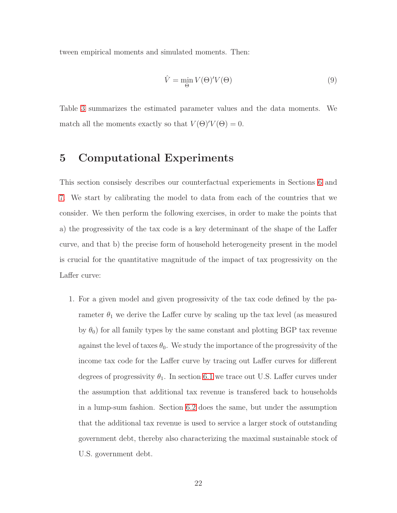tween empirical moments and simulated moments. Then:

$$
\hat{V} = \min_{\Theta} V(\Theta)' V(\Theta) \tag{9}
$$

<span id="page-23-0"></span>Table [3](#page-22-0) summarizes the estimated parameter values and the data moments. We match all the moments exactly so that  $V(\Theta)'V(\Theta) = 0$ .

### 5 Computational Experiments

This section consisely describes our counterfactual experiements in Sections [6](#page-25-0) and [7.](#page-32-0) We start by calibrating the model to data from each of the countries that we consider. We then perform the following exercises, in order to make the points that a) the progressivity of the tax code is a key determinant of the shape of the Laffer curve, and that b) the precise form of household heterogeneity present in the model is crucial for the quantitative magnitude of the impact of tax progressivity on the Laffer curve:

1. For a given model and given progressivity of the tax code defined by the parameter  $\theta_1$  we derive the Laffer curve by scaling up the tax level (as measured by  $\theta_0$ ) for all family types by the same constant and plotting BGP tax revenue against the level of taxes  $\theta_0$ . We study the importance of the progressivity of the income tax code for the Laffer curve by tracing out Laffer curves for different degrees of progressivity  $\theta_1$ . In section [6.1](#page-25-1) we trace out U.S. Laffer curves under the assumption that additional tax revenue is transfered back to households in a lump-sum fashion. Section [6.2](#page-26-0) does the same, but under the assumption that the additional tax revenue is used to service a larger stock of outstanding government debt, thereby also characterizing the maximal sustainable stock of U.S. government debt.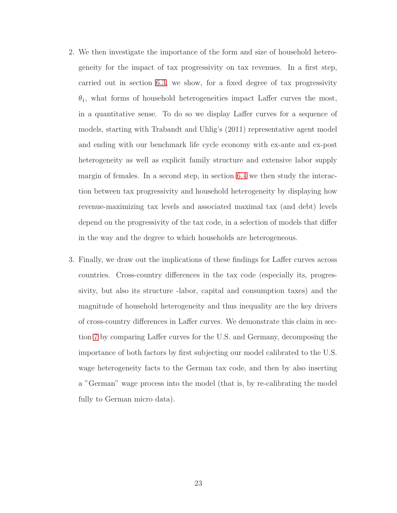- 2. We then investigate the importance of the form and size of household heterogeneity for the impact of tax progressivity on tax revenues. In a first step, carried out in section [6.3,](#page-28-0) we show, for a fixed degree of tax progressivity  $\theta_1$ , what forms of household heterogeneities impact Laffer curves the most, in a quantitative sense. To do so we display Laffer curves for a sequence of models, starting with Trabandt and Uhlig's (2011) representative agent model and ending with our benchmark life cycle economy with ex-ante and ex-post heterogeneity as well as explicit family structure and extensive labor supply margin of females. In a second step, in section [6.4](#page-31-0) we then study the interaction between tax progressivity and household heterogeneity by displaying how revenue-maximizing tax levels and associated maximal tax (and debt) levels depend on the progressivity of the tax code, in a selection of models that differ in the way and the degree to which households are heterogeneous.
- 3. Finally, we draw out the implications of these findings for Laffer curves across countries. Cross-country differences in the tax code (especially its, progressivity, but also its structure -labor, capital and consumption taxes) and the magnitude of household heterogeneity and thus inequality are the key drivers of cross-country differences in Laffer curves. We demonstrate this claim in section [7](#page-32-0) by comparing Laffer curves for the U.S. and Germany, decomposing the importance of both factors by first subjecting our model calibrated to the U.S. wage heterogeneity facts to the German tax code, and then by also inserting a "German" wage process into the model (that is, by re-calibrating the model fully to German micro data).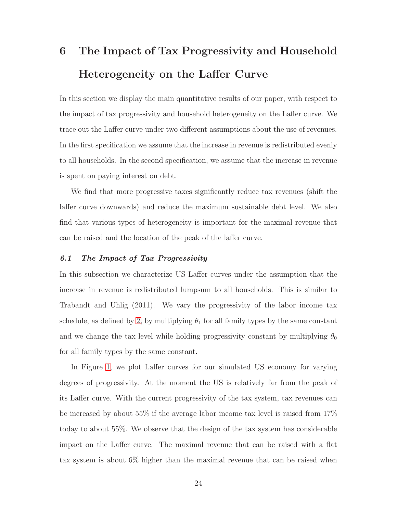# <span id="page-25-0"></span>6 The Impact of Tax Progressivity and Household Heterogeneity on the Laffer Curve

In this section we display the main quantitative results of our paper, with respect to the impact of tax progressivity and household heterogeneity on the Laffer curve. We trace out the Laffer curve under two different assumptions about the use of revenues. In the first specification we assume that the increase in revenue is redistributed evenly to all households. In the second specification, we assume that the increase in revenue is spent on paying interest on debt.

We find that more progressive taxes significantly reduce tax revenues (shift the laffer curve downwards) and reduce the maximum sustainable debt level. We also find that various types of heterogeneity is important for the maximal revenue that can be raised and the location of the peak of the laffer curve.

#### <span id="page-25-1"></span>6.1 The Impact of Tax Progressivity

In this subsection we characterize US Laffer curves under the assumption that the increase in revenue is redistributed lumpsum to all households. This is similar to Trabandt and Uhlig (2011). We vary the progressivity of the labor income tax schedule, as defined by [2,](#page-6-3) by multiplying  $\theta_1$  for all family types by the same constant and we change the tax level while holding progressivity constant by multiplying  $\theta_0$ for all family types by the same constant.

In Figure [1,](#page-26-1) we plot Laffer curves for our simulated US economy for varying degrees of progressivity. At the moment the US is relatively far from the peak of its Laffer curve. With the current progressivity of the tax system, tax revenues can be increased by about 55% if the average labor income tax level is raised from 17% today to about 55%. We observe that the design of the tax system has considerable impact on the Laffer curve. The maximal revenue that can be raised with a flat tax system is about 6% higher than the maximal revenue that can be raised when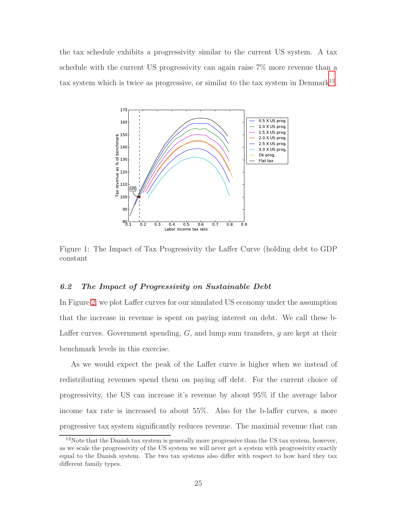the tax schedule exhibits a progressivity similar to the current US system. A tax schedule with the current US progressivity can again raise 7% more revenue than a tax system which is twice as progressive, or similar to the tax system in Denmark<sup>[12](#page-26-2)</sup>.



<span id="page-26-1"></span><span id="page-26-0"></span>Figure 1: The Impact of Tax Progressivity the Laffer Curve (holding debt to GDP constant

#### 6.2 The Impact of Progressivity on Sustainable Debt

In Figure [2,](#page-27-0) we plot Laffer curves for our simulated US economy under the assumption that the increase in revenue is spent on paying interest on debt. We call these b-Laffer curves. Government spending,  $G$ , and lump sum transfers,  $g$  are kept at their benchmark levels in this exercise.

As we would expect the peak of the Laffer curve is higher when we instead of redistributing revenues spend them on paying off debt. For the current choice of progressivity, the US can increase it's revenue by about 95% if the average labor income tax rate is increased to about 55%. Also for the b-laffer curves, a more progressive tax system significantly reduces revenue. The maximal revenue that can

<span id="page-26-2"></span><sup>&</sup>lt;sup>12</sup>Note that the Danish tax system is generally more progressive than the US tax system, however, as we scale the progressivity of the US system we will never get a system with progressivity exactly equal to the Danish system. The two tax systems also differ with respect to how hard they tax different family types.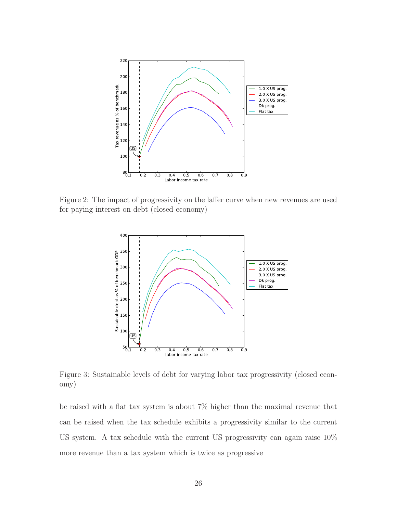

Figure 2: The impact of progressivity on the laffer curve when new revenues are used for paying interest on debt (closed economy)

<span id="page-27-0"></span>

<span id="page-27-1"></span>Figure 3: Sustainable levels of debt for varying labor tax progressivity (closed economy)

be raised with a flat tax system is about 7% higher than the maximal revenue that can be raised when the tax schedule exhibits a progressivity similar to the current US system. A tax schedule with the current US progressivity can again raise 10% more revenue than a tax system which is twice as progressive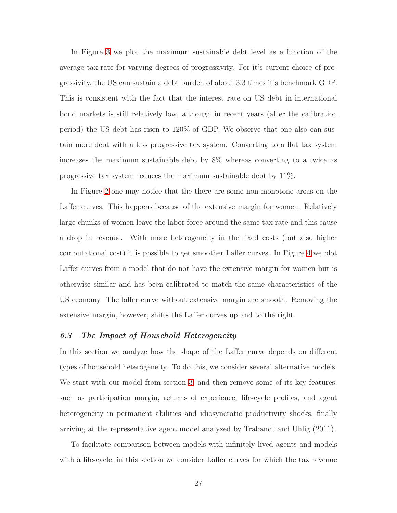In Figure [3](#page-27-1) we plot the maximum sustainable debt level as e function of the average tax rate for varying degrees of progressivity. For it's current choice of progressivity, the US can sustain a debt burden of about 3.3 times it's benchmark GDP. This is consistent with the fact that the interest rate on US debt in international bond markets is still relatively low, although in recent years (after the calibration period) the US debt has risen to 120% of GDP. We observe that one also can sustain more debt with a less progressive tax system. Converting to a flat tax system increases the maximum sustainable debt by 8% whereas converting to a twice as progressive tax system reduces the maximum sustainable debt by 11%.

In Figure [2](#page-27-0) one may notice that the there are some non-monotone areas on the Laffer curves. This happens because of the extensive margin for women. Relatively large chunks of women leave the labor force around the same tax rate and this cause a drop in revenue. With more heterogeneity in the fixed costs (but also higher computational cost) it is possible to get smoother Laffer curves. In Figure [4](#page-29-0) we plot Laffer curves from a model that do not have the extensive margin for women but is otherwise similar and has been calibrated to match the same characteristics of the US economy. The laffer curve without extensive margin are smooth. Removing the extensive margin, however, shifts the Laffer curves up and to the right.

#### <span id="page-28-0"></span>6.3 The Impact of Household Heterogeneity

In this section we analyze how the shape of the Laffer curve depends on different types of household heterogeneity. To do this, we consider several alternative models. We start with our model from section [3,](#page-8-0) and then remove some of its key features, such as participation margin, returns of experience, life-cycle profiles, and agent heterogeneity in permanent abilities and idiosyncratic productivity shocks, finally arriving at the representative agent model analyzed by Trabandt and Uhlig (2011).

To facilitate comparison between models with infinitely lived agents and models with a life-cycle, in this section we consider Laffer curves for which the tax revenue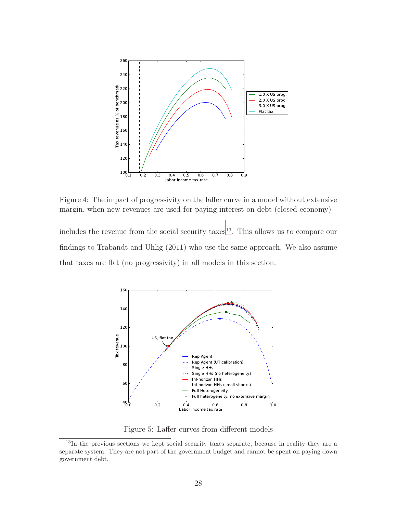

<span id="page-29-0"></span>Figure 4: The impact of progressivity on the laffer curve in a model without extensive margin, when new revenues are used for paying interest on debt (closed economy)

includes the revenue from the social security taxes<sup>[13](#page-29-1)</sup>. This allows us to compare our findings to Trabandt and Uhlig (2011) who use the same approach. We also assume that taxes are flat (no progressivity) in all models in this section.



<span id="page-29-2"></span>Figure 5: Laffer curves from different models

<span id="page-29-1"></span><sup>&</sup>lt;sup>13</sup>In the previous sections we kept social security taxes separate, because in reality they are a separate system. They are not part of the government budget and cannot be spent on paying down government debt.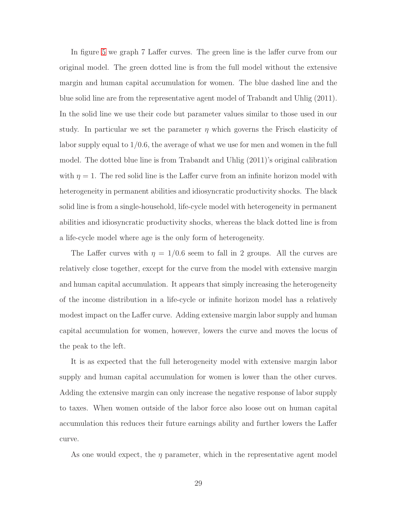In figure [5](#page-29-2) we graph 7 Laffer curves. The green line is the laffer curve from our original model. The green dotted line is from the full model without the extensive margin and human capital accumulation for women. The blue dashed line and the blue solid line are from the representative agent model of Trabandt and Uhlig (2011). In the solid line we use their code but parameter values similar to those used in our study. In particular we set the parameter  $\eta$  which governs the Frisch elasticity of labor supply equal to 1/0.6, the average of what we use for men and women in the full model. The dotted blue line is from Trabandt and Uhlig (2011)'s original calibration with  $\eta = 1$ . The red solid line is the Laffer curve from an infinite horizon model with heterogeneity in permanent abilities and idiosyncratic productivity shocks. The black solid line is from a single-household, life-cycle model with heterogeneity in permanent abilities and idiosyncratic productivity shocks, whereas the black dotted line is from a life-cycle model where age is the only form of heterogeneity.

The Laffer curves with  $\eta = 1/0.6$  seem to fall in 2 groups. All the curves are relatively close together, except for the curve from the model with extensive margin and human capital accumulation. It appears that simply increasing the heterogeneity of the income distribution in a life-cycle or infinite horizon model has a relatively modest impact on the Laffer curve. Adding extensive margin labor supply and human capital accumulation for women, however, lowers the curve and moves the locus of the peak to the left.

It is as expected that the full heterogeneity model with extensive margin labor supply and human capital accumulation for women is lower than the other curves. Adding the extensive margin can only increase the negative response of labor supply to taxes. When women outside of the labor force also loose out on human capital accumulation this reduces their future earnings ability and further lowers the Laffer curve.

As one would expect, the  $\eta$  parameter, which in the representative agent model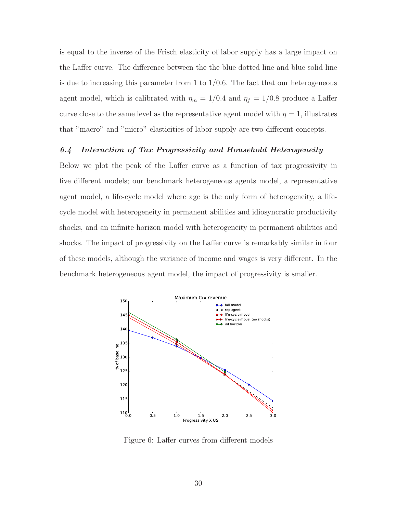is equal to the inverse of the Frisch elasticity of labor supply has a large impact on the Laffer curve. The difference between the the blue dotted line and blue solid line is due to increasing this parameter from 1 to  $1/0.6$ . The fact that our heterogeneous agent model, which is calibrated with  $\eta_m = 1/0.4$  and  $\eta_f = 1/0.8$  produce a Laffer curve close to the same level as the representative agent model with  $\eta = 1$ , illustrates that "macro" and "micro" elasticities of labor supply are two different concepts.

#### <span id="page-31-0"></span>6.4 Interaction of Tax Progressivity and Household Heterogeneity

Below we plot the peak of the Laffer curve as a function of tax progressivity in five different models; our benchmark heterogeneous agents model, a representative agent model, a life-cycle model where age is the only form of heterogeneity, a lifecycle model with heterogeneity in permanent abilities and idiosyncratic productivity shocks, and an infinite horizon model with heterogeneity in permanent abilities and shocks. The impact of progressivity on the Laffer curve is remarkably similar in four of these models, although the variance of income and wages is very different. In the benchmark heterogeneous agent model, the impact of progressivity is smaller.



Figure 6: Laffer curves from different models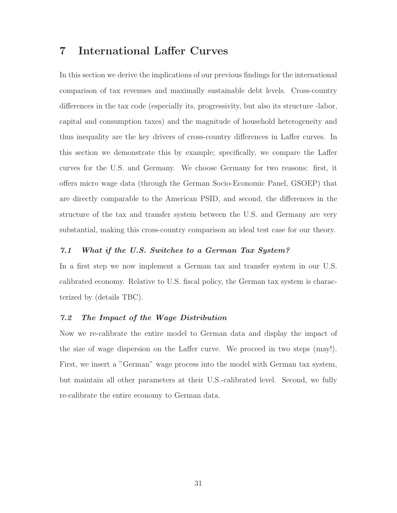## <span id="page-32-0"></span>7 International Laffer Curves

In this section we derive the implications of our previous findings for the international comparison of tax revenues and maximally sustainable debt levels. Cross-country differences in the tax code (especially its, progressivity, but also its structure -labor, capital and consumption taxes) and the magnitude of household heterogeneity and thus inequality are the key drivers of cross-country differences in Laffer curves. In this section we demonstrate this by example; specifically, we compare the Laffer curves for the U.S. and Germany. We choose Germany for two reasons: first, it offers micro wage data (through the German Socio-Economic Panel, GSOEP) that are directly comparable to the American PSID, and second, the differences in the structure of the tax and transfer system between the U.S. and Germany are very substantial, making this cross-country comparison an ideal test case for our theory.

#### 7.1 What if the U.S. Switches to a German Tax System?

In a first step we now implement a German tax and transfer system in our U.S. calibrated economy. Relative to U.S. fiscal policy, the German tax system is characterized by (details TBC).

#### 7.2 The Impact of the Wage Distribution

Now we re-calibrate the entire model to German data and display the impact of the size of wage dispersion on the Laffer curve. We proceed in two steps (may!). First, we insert a "German" wage process into the model with German tax system, but maintain all other parameters at their U.S.-calibrated level. Second, we fully re-calibrate the entire economy to German data.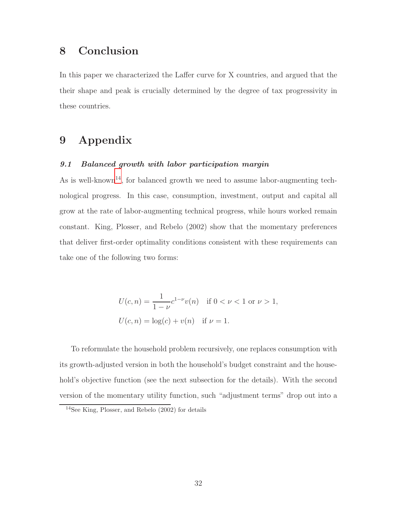## <span id="page-33-0"></span>8 Conclusion

In this paper we characterized the Laffer curve for X countries, and argued that the their shape and peak is crucially determined by the degree of tax progressivity in these countries.

## 9 Appendix

#### 9.1 Balanced growth with labor participation margin

As is well-known<sup>[14](#page-33-1)</sup>, for balanced growth we need to assume labor-augmenting technological progress. In this case, consumption, investment, output and capital all grow at the rate of labor-augmenting technical progress, while hours worked remain constant. King, Plosser, and Rebelo (2002) show that the momentary preferences that deliver first-order optimality conditions consistent with these requirements can take one of the following two forms:

$$
U(c, n) = \frac{1}{1 - \nu} c^{1 - \nu} v(n) \quad \text{if } 0 < \nu < 1 \text{ or } \nu > 1,
$$
  

$$
U(c, n) = \log(c) + v(n) \quad \text{if } \nu = 1.
$$

To reformulate the household problem recursively, one replaces consumption with its growth-adjusted version in both the household's budget constraint and the household's objective function (see the next subsection for the details). With the second version of the momentary utility function, such "adjustment terms" drop out into a

<span id="page-33-1"></span><sup>14</sup>See King, Plosser, and Rebelo (2002) for details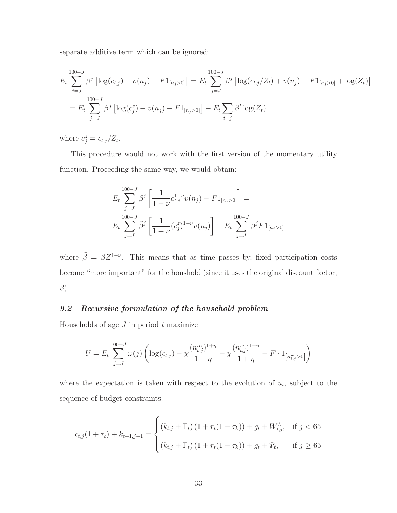separate additive term which can be ignored:

$$
E_t \sum_{j=J}^{100-J} \beta^j \left[ \log(c_{t,j}) + v(n_j) - F1_{[n_j > 0]} \right] = E_t \sum_{j=J}^{100-J} \beta^j \left[ \log(c_{t,j}/Z_t) + v(n_j) - F1_{[n_j > 0]} + \log(Z_t) \right]
$$
  
= 
$$
E_t \sum_{j=J}^{100-J} \beta^j \left[ \log(c_j^z) + v(n_j) - F1_{[n_j > 0]} \right] + E_t \sum_{t=j} \beta^t \log(Z_t)
$$

where  $c_j^z = c_{t,j}/Z_t$ .

This procedure would not work with the first version of the momentary utility function. Proceeding the same way, we would obtain:

$$
E_t \sum_{j=J}^{100-J} \beta^j \left[ \frac{1}{1-\nu} c_{t,j}^{1-\nu} v(n_j) - F1_{[n_j>0]} \right] =
$$
  

$$
E_t \sum_{j=J}^{100-J} \tilde{\beta}^j \left[ \frac{1}{1-\nu} (c_j^z)^{1-\nu} v(n_j) \right] - E_t \sum_{j=J}^{100-J} \beta^j F1_{[n_j>0]}
$$

where  $\tilde{\beta} = \beta Z^{1-\nu}$ . This means that as time passes by, fixed participation costs become "more important" for the houshold (since it uses the original discount factor,  $\beta$ ).

#### 9.2 Recursive formulation of the household problem

Households of age  $J$  in period  $t$  maximize

$$
U = E_t \sum_{j=J}^{100-J} \omega(j) \left( \log(c_{t,j}) - \chi \frac{(n_{t,j}^m)^{1+\eta}}{1+\eta} - \chi \frac{(n_{t,j}^w)^{1+\eta}}{1+\eta} - F \cdot 1_{\left[ n_{t,j}^w > 0 \right]} \right)
$$

where the expectation is taken with respect to the evolution of  $u_t$ , subject to the sequence of budget constraints:

$$
c_{t,j}(1+\tau_c) + k_{t+1,j+1} = \begin{cases} (k_{t,j} + \Gamma_t) (1 + r_t(1-\tau_k)) + g_t + W_{t,j}^L, & \text{if } j < 65\\ (k_{t,j} + \Gamma_t) (1 + r_t(1-\tau_k)) + g_t + \Psi_t, & \text{if } j \ge 65 \end{cases}
$$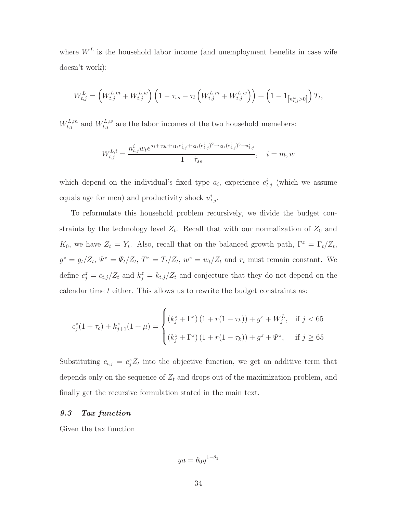where  $W^L$  is the household labor income (and unemployment benefits in case wife doesn't work):

$$
W_{t,j}^{L} = \left(W_{t,j}^{L,m} + W_{t,j}^{L,w}\right) \left(1 - \tau_{ss} - \tau_l \left(W_{t,j}^{L,m} + W_{t,j}^{L,w}\right)\right) + \left(1 - 1_{\left[n_{t,j}^w > 0\right]}\right) T_t,
$$

 $W_{t,j}^{L,m}$  and  $W_{t,j}^{L,w}$  are the labor incomes of the two household memebers:

$$
W_{t,j}^{L,i} = \frac{n_{t,j}^i w_t e^{a_i + \gamma_{0t} + \gamma_{1t} e_{t,j}^i + \gamma_{2t} (e_{t,j}^i)^2 + \gamma_{3t} (e_{t,j}^i)^3 + u_{t,j}^i}}{1 + \tilde{\tau}_{ss}}, \quad i = m, w
$$

which depend on the individual's fixed type  $a_i$ , experience  $e_{t,j}^i$  (which we assume equals age for men) and productivity shock  $u_{t,j}^i$ .

To reformulate this household problem recursively, we divide the budget constraints by the technology level  $Z_t$ . Recall that with our normalization of  $Z_0$  and  $K_0$ , we have  $Z_t = Y_t$ . Also, recall that on the balanced growth path,  $\Gamma^z = \Gamma_t/Z_t$ ,  $g^z = g_t/Z_t$ ,  $\Psi^z = \Psi_t/Z_t$ ,  $T^z = T_t/Z_t$ ,  $w^z = w_t/Z_t$  and  $r_t$  must remain constant. We define  $c_j^z = c_{t,j}/Z_t$  and  $k_j^z = k_{t,j}/Z_t$  and conjecture that they do not depend on the calendar time  $t$  either. This allows us to rewrite the budget constraints as:

$$
c_j^z(1+\tau_c) + k_{j+1}^z(1+\mu) = \begin{cases} (k_j^z + \Gamma^z) \left(1 + r(1-\tau_k)\right) + g^z + W_j^L, & \text{if } j < 65\\ (k_j^z + \Gamma^z) \left(1 + r(1-\tau_k)\right) + g^z + \Psi^z, & \text{if } j \ge 65 \end{cases}
$$

Substituting  $c_{t,j} = c_j^z Z_t$  into the objective function, we get an additive term that depends only on the sequence of  $Z_t$  and drops out of the maximization problem, and finally get the recursive formulation stated in the main text.

#### <span id="page-35-0"></span>9.3 Tax function

Given the tax function

$$
ya = \theta_0 y^{1-\theta_1}
$$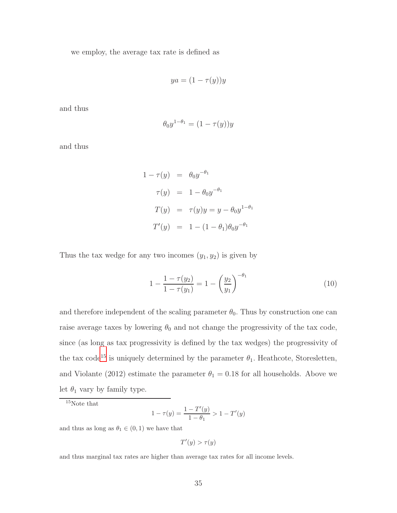we employ, the average tax rate is defined as

$$
ya = (1 - \tau(y))y
$$

and thus

$$
\theta_0 y^{1-\theta_1} = (1 - \tau(y))y
$$

and thus

$$
1 - \tau(y) = \theta_0 y^{-\theta_1}
$$
  
\n
$$
\tau(y) = 1 - \theta_0 y^{-\theta_1}
$$
  
\n
$$
T(y) = \tau(y)y = y - \theta_0 y^{1-\theta_1}
$$
  
\n
$$
T'(y) = 1 - (1 - \theta_1)\theta_0 y^{-\theta_1}
$$

Thus the tax wedge for any two incomes  $(y_1, y_2)$  is given by

$$
1 - \frac{1 - \tau(y_2)}{1 - \tau(y_1)} = 1 - \left(\frac{y_2}{y_1}\right)^{-\theta_1} \tag{10}
$$

and therefore independent of the scaling parameter  $\theta_0$ . Thus by construction one can raise average taxes by lowering  $\theta_0$  and not change the progressivity of the tax code, since (as long as tax progressivity is defined by the tax wedges) the progressivity of the tax code<sup>[15](#page-36-0)</sup> is uniquely determined by the parameter  $\theta_1$ . Heathcote, Storesletten, and Violante (2012) estimate the parameter  $\theta_1 = 0.18$  for all households. Above we let  $\theta_1$  vary by family type.

<span id="page-36-0"></span> $\rm ^{15}Note$  that

$$
1 - \tau(y) = \frac{1 - T'(y)}{1 - \theta_1} > 1 - T'(y)
$$

and thus as long as  $\theta_1 \in (0,1)$  we have that

$$
T'(y) > \tau(y)
$$

and thus marginal tax rates are higher than average tax rates for all income levels.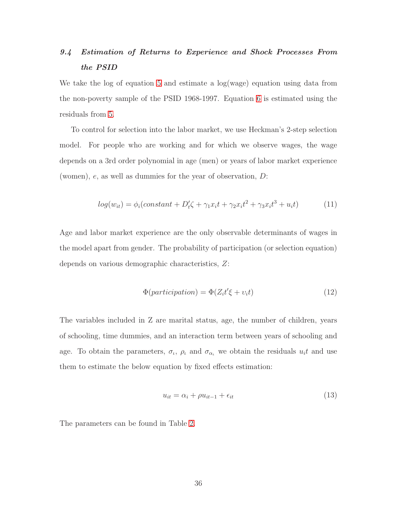## <span id="page-37-0"></span>9.4 Estimation of Returns to Experience and Shock Processes From the PSID

We take the log of equation [5](#page-11-0) and estimate a log(wage) equation using data from the non-poverty sample of the PSID 1968-1997. Equation [6](#page-11-1) is estimated using the residuals from [5.](#page-11-0)

To control for selection into the labor market, we use Heckman's 2-step selection model. For people who are working and for which we observe wages, the wage depends on a 3rd order polynomial in age (men) or years of labor market experience (women), e, as well as dummies for the year of observation, D:

$$
log(w_{it}) = \phi_i (constant + D'_t \zeta + \gamma_1 x_i t + \gamma_2 x_i t^2 + \gamma_3 x_i t^3 + u_i t)
$$
 (11)

Age and labor market experience are the only observable determinants of wages in the model apart from gender. The probability of participation (or selection equation) depends on various demographic characteristics, Z:

$$
\Phi(participation) = \Phi(Z_i t' \xi + v_i t) \tag{12}
$$

The variables included in Z are marital status, age, the number of children, years of schooling, time dummies, and an interaction term between years of schooling and age. To obtain the parameters,  $\sigma_i$ ,  $\rho_i$  and  $\sigma_{\alpha_i}$  we obtain the residuals  $u_i t$  and use them to estimate the below equation by fixed effects estimation:

$$
u_{it} = \alpha_i + \rho u_{it-1} + \epsilon_{it} \tag{13}
$$

The parameters can be found in Table [2.](#page-21-0)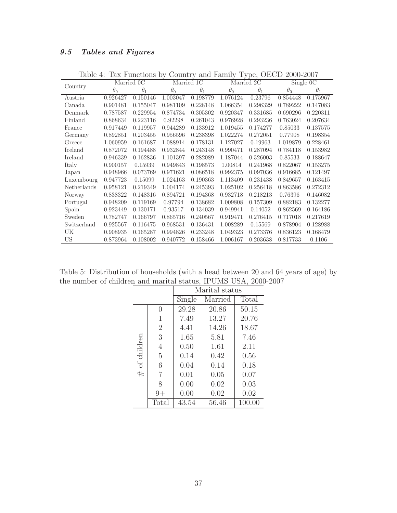### 9.5 Tables and Figures

|             | Married 0C |            | Married 1C |            | Married 2C |            | Single 0C  |            |
|-------------|------------|------------|------------|------------|------------|------------|------------|------------|
| Country     | $\theta_0$ | $\theta_1$ | $\theta_0$ | $\theta_1$ | $\theta_0$ | $\theta_1$ | $\theta_0$ | $\theta_1$ |
| Austria     | 0.926427   | 0.150146   | 1.003047   | 0.198779   | 1.076124   | 0.23796    | 0.854448   | 0.175967   |
| Canada      | 0.901481   | 0.155047   | 0.981109   | 0.228148   | 1.066354   | 0.296329   | 0.789222   | 0.147083   |
| Denmark     | 0.787587   | 0.229954   | 0.874734   | 0.305302   | 0.920347   | 0.331685   | 0.690296   | 0.220311   |
| Finland     | 0.868634   | 0.223116   | 0.92298    | 0.261043   | 0.976928   | 0.293236   | 0.763024   | 0.207634   |
| France      | 0.917449   | 0.119957   | 0.944289   | 0.133912   | 1.019455   | 0.174277   | 0.85033    | 0.137575   |
| Germany     | 0.892851   | 0.203455   | 0.956596   | 0.238398   | 1.022274   | 0.272051   | 0.77908    | 0.198354   |
| Greece      | 1.060959   | 0.161687   | 1.088914   | 0.178131   | 1.127027   | 0.19963    | 1.019879   | 0.228461   |
| Iceland     | 0.872072   | 0.194488   | 0.932844   | 0.243148   | 0.990471   | 0.287094   | 0.784118   | 0.153982   |
| Ireland     | 0.946339   | 0.162836   | 1.101397   | 0.282089   | 1.187044   | 0.326003   | 0.85533    | 0.188647   |
| Italy       | 0.900157   | 0.15939    | 0.949843   | 0.198573   | 1.00814    | 0.241968   | 0.822067   | 0.153275   |
| Japan       | 0.948966   | 0.073769   | 0.971621   | 0.086518   | 0.992375   | 0.097036   | 0.916685   | 0.121497   |
| Luxembourg  | 0.947723   | 0.15099    | 1.024163   | 0.190363   | 1.113409   | 0.231438   | 0.849657   | 0.163415   |
| Netherlands | 0.958121   | 0.219349   | 1.004174   | 0.245393   | 1.025102   | 0.256418   | 0.863586   | 0.272312   |
| Norway      | 0.838322   | 0.148316   | 0.894721   | 0.194368   | 0.932718   | 0.218213   | 0.76396    | 0.146082   |
| Portugal    | 0.948209   | 0.119169   | 0.97794    | 0.138682   | 1.009808   | 0.157309   | 0.882183   | 0.132277   |
| Spain       | 0.923449   | 0.130171   | 0.93517    | 0.134039   | 0.949941   | 0.14052    | 0.862569   | 0.164186   |
| Sweden      | 0.782747   | 0.166797   | 0.865716   | 0.240567   | 0.919471   | 0.276415   | 0.717018   | 0.217619   |
| Switzerland | 0.925567   | 0.116475   | 0.968531   | 0.136431   | 1.008289   | 0.15569    | 0.878904   | 0.128988   |
| UK          | 0.908935   | 0.165287   | 0.994826   | 0.233248   | 1.049323   | 0.273376   | 0.836123   | 0.168479   |
| US          | 0.873964   | 0.108002   | 0.940772   | 0.158466   | 1.006167   | 0.203638   | 0.817733   | 0.1106     |

<span id="page-38-0"></span>Table 4: Tax Functions by Country and Family Type, OECD 2000-2007

Table 5: Distribution of households (with a head between 20 and 64 years of age) by the number of children and marital status, IPUMS USA, 2000-2007

|             |                | Marital status |         |        |  |  |
|-------------|----------------|----------------|---------|--------|--|--|
|             |                | Single         | Married | Total  |  |  |
|             | 0              | 29.28          | 20.86   | 50.15  |  |  |
|             | 1              | 7.49           | 13.27   | 20.76  |  |  |
|             | $\overline{2}$ | 4.41           | 14.26   | 18.67  |  |  |
|             | 3              | 1.65           | 5.81    | 7.46   |  |  |
|             | 4              | 0.50           | 1.61    | 2.11   |  |  |
| of children | 5              | 0.14           | 0.42    | 0.56   |  |  |
|             | 6              | 0.04           | 0.14    | 0.18   |  |  |
| $\#$        | 7              | 0.01           | 0.05    | 0.07   |  |  |
|             | 8              | 0.00           | 0.02    | 0.03   |  |  |
|             | 9+             | 0.00           | 0.02    | 0.02   |  |  |
|             | Total          | 43.54          | 56.46   | 100.00 |  |  |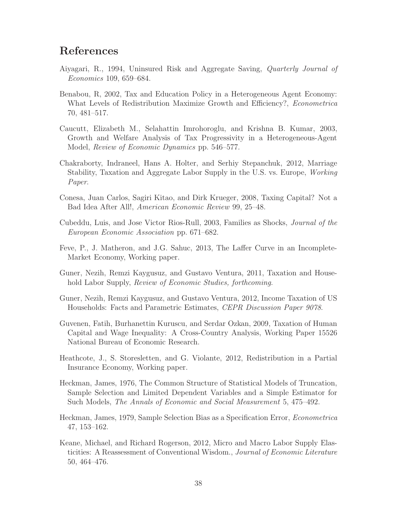## References

- Aiyagari, R., 1994, Uninsured Risk and Aggregate Saving, Quarterly Journal of Economics 109, 659–684.
- Benabou, R, 2002, Tax and Education Policy in a Heterogeneous Agent Economy: What Levels of Redistribution Maximize Growth and Efficiency?, *Econometrica* 70, 481–517.
- Caucutt, Elizabeth M., Selahattin Imrohoroglu, and Krishna B. Kumar, 2003, Growth and Welfare Analysis of Tax Progressivity in a Heterogeneous-Agent Model, Review of Economic Dynamics pp. 546–577.
- Chakraborty, Indraneel, Hans A. Holter, and Serhiy Stepanchuk, 2012, Marriage Stability, Taxation and Aggregate Labor Supply in the U.S. vs. Europe, Working Paper.
- Conesa, Juan Carlos, Sagiri Kitao, and Dirk Krueger, 2008, Taxing Capital? Not a Bad Idea After All!, American Economic Review 99, 25–48.
- Cubeddu, Luis, and Jose Victor Rios-Rull, 2003, Families as Shocks, Journal of the European Economic Association pp. 671–682.
- Feve, P., J. Matheron, and J.G. Sahuc, 2013, The Laffer Curve in an Incomplete-Market Economy, Working paper.
- Guner, Nezih, Remzi Kaygusuz, and Gustavo Ventura, 2011, Taxation and Household Labor Supply, *Review of Economic Studies, forthcoming.*
- Guner, Nezih, Remzi Kaygusuz, and Gustavo Ventura, 2012, Income Taxation of US Households: Facts and Parametric Estimates, CEPR Discussion Paper 9078.
- Guvenen, Fatih, Burhanettin Kuruscu, and Serdar Ozkan, 2009, Taxation of Human Capital and Wage Inequality: A Cross-Country Analysis, Working Paper 15526 National Bureau of Economic Research.
- Heathcote, J., S. Storesletten, and G. Violante, 2012, Redistribution in a Partial Insurance Economy, Working paper.
- Heckman, James, 1976, The Common Structure of Statistical Models of Truncation, Sample Selection and Limited Dependent Variables and a Simple Estimator for Such Models, The Annals of Economic and Social Measurement 5, 475–492.
- Heckman, James, 1979, Sample Selection Bias as a Specification Error, Econometrica 47, 153–162.
- Keane, Michael, and Richard Rogerson, 2012, Micro and Macro Labor Supply Elasticities: A Reassessment of Conventional Wisdom., Journal of Economic Literature 50, 464–476.